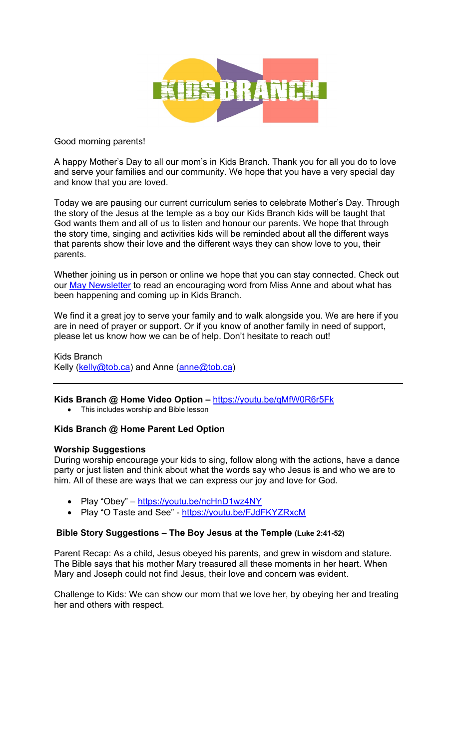

### Good morning parents!

A happy Mother's Day to all our mom's in Kids Branch. Thank you for all you do to love and serve your families and our community. We hope that you have a very special day and know that you are loved.

Today we are pausing our current curriculum series to celebrate Mother's Day. Through the story of the Jesus at the temple as a boy our Kids Branch kids will be taught that God wants them and all of us to listen and honour our parents. We hope that through the story time, singing and activities kids will be reminded about all the different ways that parents show their love and the different ways they can show love to you, their parents.

Whether joining us in person or online we hope that you can stay connected. Check out our May Newsletter to read an encouraging word from Miss Anne and about what has been happening and coming up in Kids Branch.

We find it a great joy to serve your family and to walk alongside you. We are here if you are in need of prayer or support. Or if you know of another family in need of support, please let us know how we can be of help. Don't hesitate to reach out!

Kids Branch Kelly (kelly@tob.ca) and Anne (anne@tob.ca)

### **Kids Branch @ Home Video Option –** https://youtu.be/qMfW0R6r5Fk

• This includes worship and Bible lesson

#### **Kids Branch @ Home Parent Led Option**

#### **Worship Suggestions**

During worship encourage your kids to sing, follow along with the actions, have a dance party or just listen and think about what the words say who Jesus is and who we are to him. All of these are ways that we can express our joy and love for God.

- Play "Obey" https://youtu.be/ncHnD1wz4NY
- Play "O Taste and See" https://youtu.be/FJdFKYZRxcM

# **Bible Story Suggestions – The Boy Jesus at the Temple (Luke 2:41-52)**

Parent Recap: As a child, Jesus obeyed his parents, and grew in wisdom and stature. The Bible says that his mother Mary treasured all these moments in her heart. When Mary and Joseph could not find Jesus, their love and concern was evident.

Challenge to Kids: We can show our mom that we love her, by obeying her and treating her and others with respect.